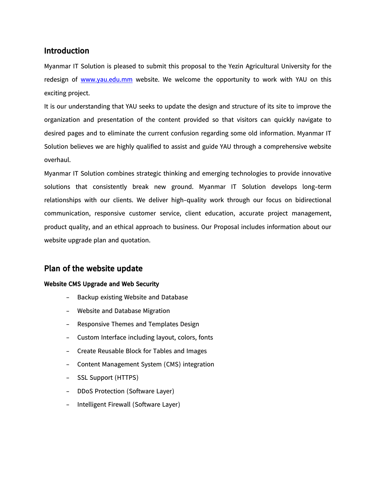## **Introduction**

Myanmar IT Solution is pleased to submit this proposal to the Yezin Agricultural University for the redesign of [www.yau.edu.mm](http://www.yau.edu.mm/) website. We welcome the opportunity to work with YAU on this exciting project.

It is our understanding that YAU seeks to update the design and structure of its site to improve the organization and presentation of the content provided so that visitors can quickly navigate to desired pages and to eliminate the current confusion regarding some old information. Myanmar IT Solution believes we are highly qualified to assist and guide YAU through a comprehensive website overhaul.

Myanmar IT Solution combines strategic thinking and emerging technologies to provide innovative solutions that consistently break new ground. Myanmar IT Solution develops long-term relationships with our clients. We deliver high-quality work through our focus on bidirectional communication, responsive customer service, client education, accurate project management, product quality, and an ethical approach to business. Our Proposal includes information about our website upgrade plan and quotation.

## **Plan of the website update**

## **Website CMS Upgrade and Web Security**

- Backup existing Website and Database
- Website and Database Migration
- Responsive Themes and Templates Design
- Custom Interface including layout, colors, fonts
- Create Reusable Block for Tables and Images
- Content Management System (CMS) integration
- SSL Support (HTTPS)
- DDoS Protection (Software Layer)
- Intelligent Firewall (Software Layer)